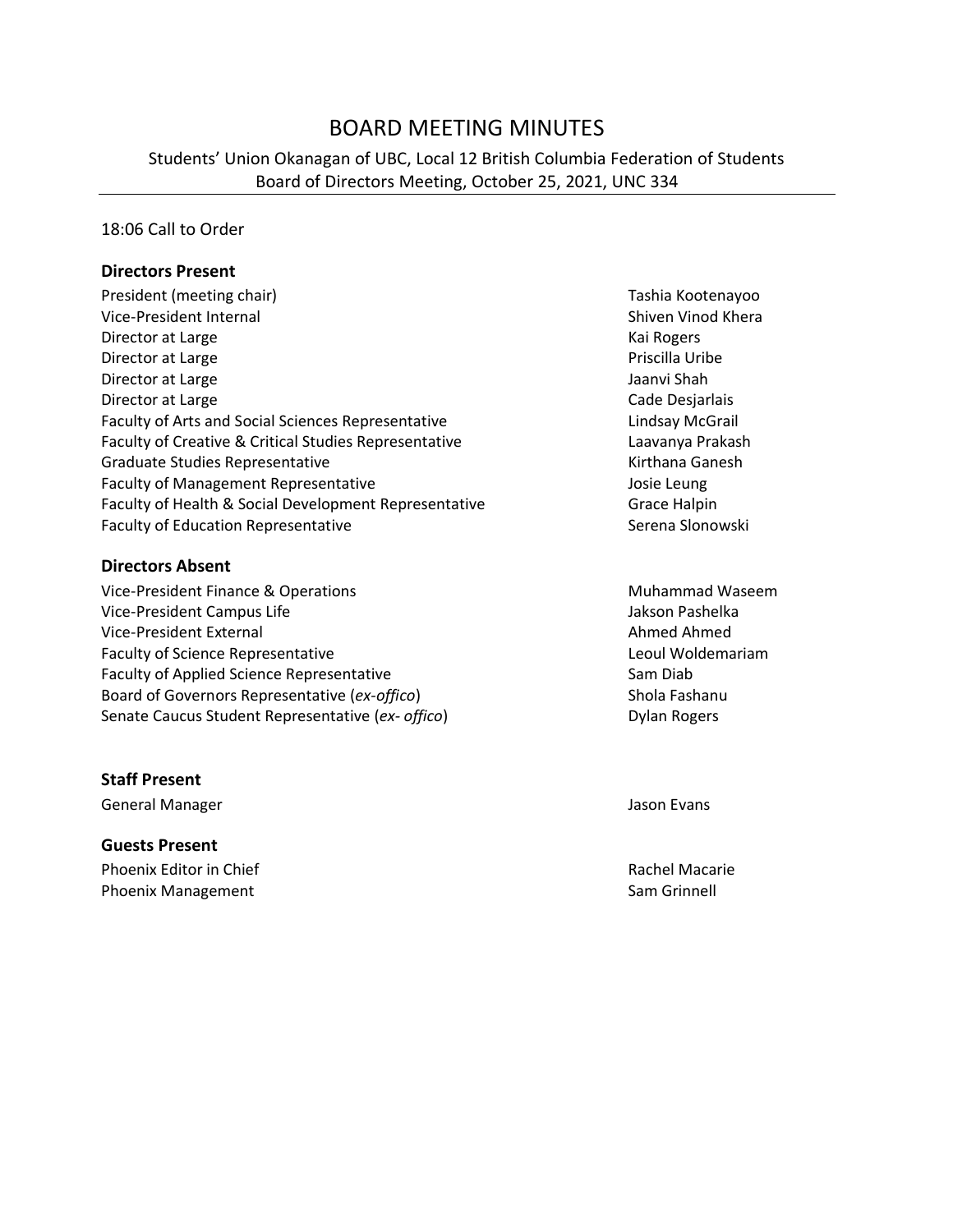# BOARD MEETING MINUTES

Students' Union Okanagan of UBC, Local 12 British Columbia Federation of Students Board of Directors Meeting, October 25, 2021, UNC 334

#### 18:06 Call to Order

#### **Directors Present**

President (meeting chair) Tashia Kootenayoo Vice-President Internal Shiven Vinod Khera Director at Large Kai Rogers and American Control of the Main Rogers and American Control of the Main Rogers of the Main Rogers and American Control of the Main Rogers and American Control of the Main Rogers and American C Director at Large **Priscilla Uribe** Priscilla Uribe Director at Large Jaanvi Shah Jaanvi Shah Jaanvi Shah Jaanvi Shah Jaanvi Shah Jaanvi Shah Jaanvi Shah Jaanvi Shah Director at Large Cade Desjarlais and Director at Large Cade Desjarlais and Director at Large Cade Desjarlais Faculty of Arts and Social Sciences Representative Lindsay McGrail Faculty of Creative & Critical Studies Representative **Lack Constants Critical** Critical Studies Representative Graduate Studies Representative **Kirthana Ganesh** Kirthana Ganesh Faculty of Management Representative Theorem and Theorem and Josie Leung Faculty of Health & Social Development Representative Grace Halpin Faculty of Education Representative **Serena Slonowski** Serena Slonowski

#### **Directors Absent**

Vice-President Finance & Operations Muhammad Waseem Vice-President Campus Life Jakson Pashelka Vice-President External Ahmed Ahmed Faculty of Science Representative **Leoul Woldemariam** Leoul Woldemariam Faculty of Applied Science Representative Sam Diab Board of Governors Representative (*ex-offico*) Shola Fashanu Senate Caucus Student Representative (ex- offico) **Dylan Rogers** Dylan Rogers

#### **Staff Present**

General Manager **Jason Evans** Jason Evans

**Guests Present** Phoenix Editor in Chief **Rachel Macarie** Rachel Macarie Phoenix Management **Sam Grinnell**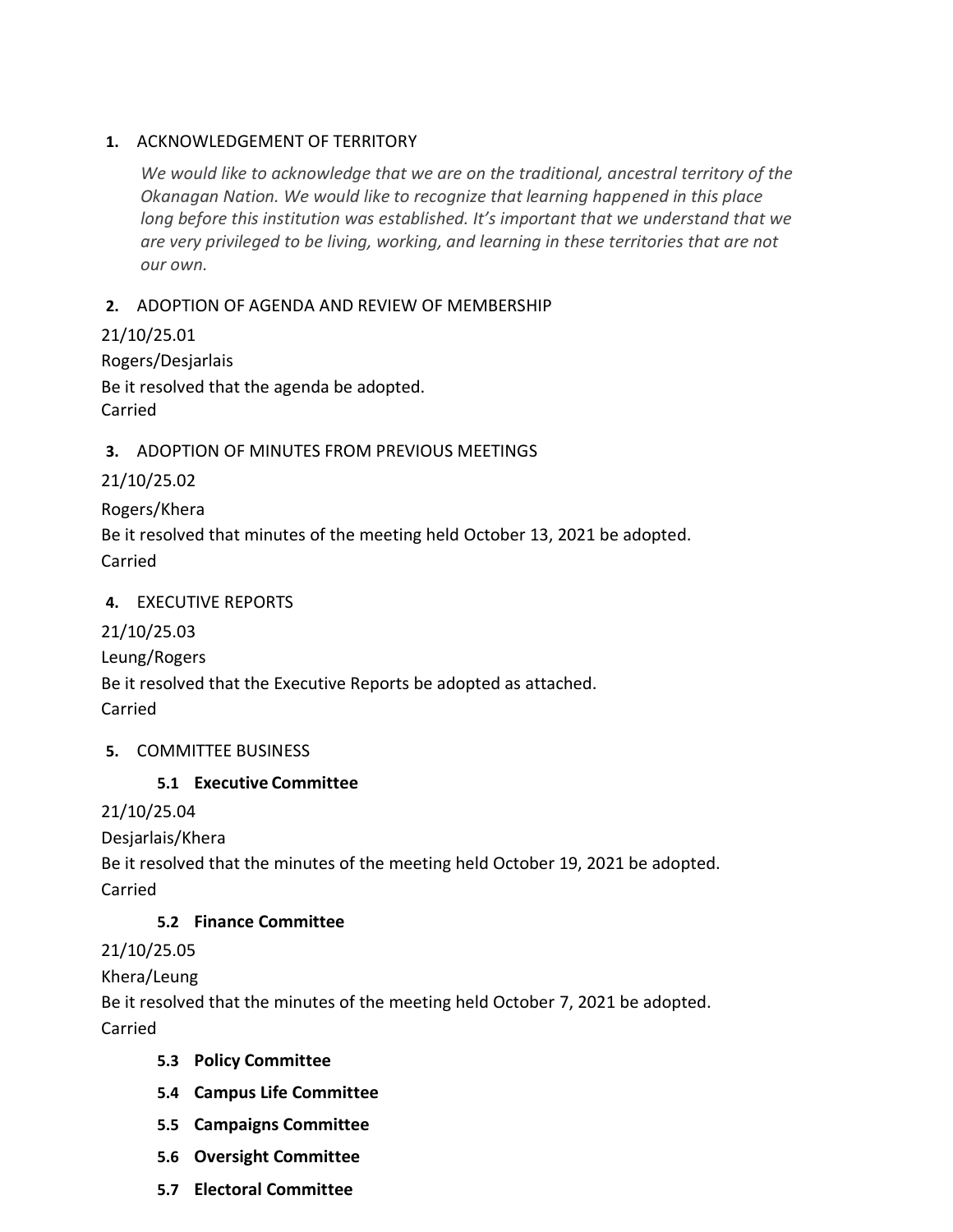### **1.** ACKNOWLEDGEMENT OF TERRITORY

*We would like to acknowledge that we are on the traditional, ancestral territory of the Okanagan Nation. We would like to recognize that learning happened in this place long before this institution was established. It's important that we understand that we are very privileged to be living, working, and learning in these territories that are not our own.*

#### **2.** ADOPTION OF AGENDA AND REVIEW OF MEMBERSHIP

21/10/25.01 Rogers/Desjarlais Be it resolved that the agenda be adopted. Carried

#### **3.** ADOPTION OF MINUTES FROM PREVIOUS MEETINGS

#### 21/10/25.02

#### Rogers/Khera

Be it resolved that minutes of the meeting held October 13, 2021 be adopted. Carried

#### **4.** EXECUTIVE REPORTS

### 21/10/25.03

Leung/Rogers

Be it resolved that the Executive Reports be adopted as attached.

Carried

### **5.** COMMITTEE BUSINESS

### **5.1 Executive Committee**

### 21/10/25.04

Desjarlais/Khera

Be it resolved that the minutes of the meeting held October 19, 2021 be adopted.

Carried

### **5.2 Finance Committee**

21/10/25.05

Khera/Leung

Be it resolved that the minutes of the meeting held October 7, 2021 be adopted.

Carried

- **5.3 Policy Committee**
- **5.4 Campus Life Committee**
- **5.5 Campaigns Committee**
- **5.6 Oversight Committee**
- **5.7 Electoral Committee**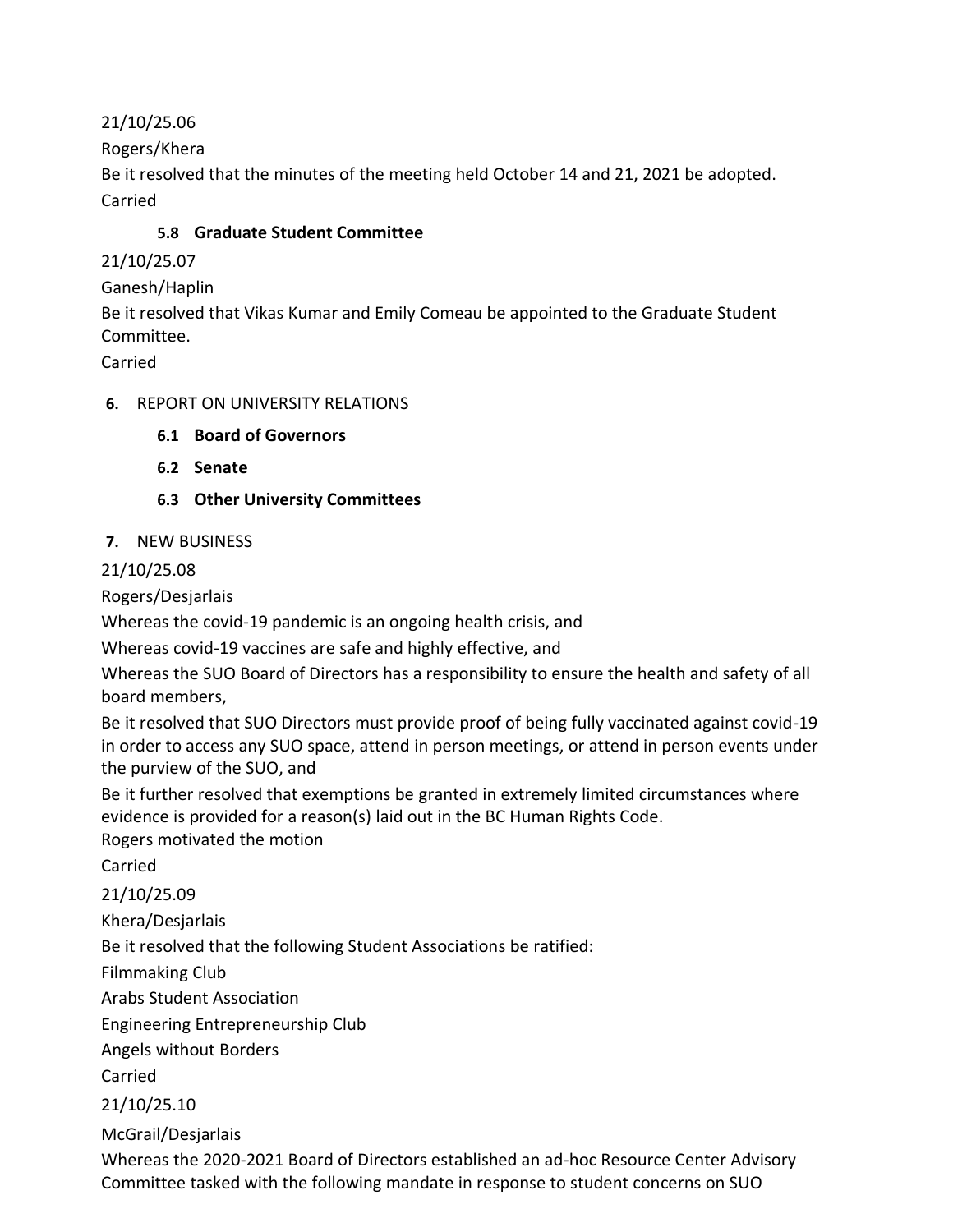21/10/25.06

Rogers/Khera

Be it resolved that the minutes of the meeting held October 14 and 21, 2021 be adopted. Carried

# **5.8 Graduate Student Committee**

21/10/25.07

Ganesh/Haplin

Be it resolved that Vikas Kumar and Emily Comeau be appointed to the Graduate Student Committee.

Carried

### **6.** REPORT ON UNIVERSITY RELATIONS

- **6.1 Board of Governors**
- **6.2 Senate**
- **6.3 Other University Committees**

# **7.** NEW BUSINESS

21/10/25.08

Rogers/Desjarlais

Whereas the covid-19 pandemic is an ongoing health crisis, and

Whereas covid-19 vaccines are safe and highly effective, and

Whereas the SUO Board of Directors has a responsibility to ensure the health and safety of all board members,

Be it resolved that SUO Directors must provide proof of being fully vaccinated against covid-19 in order to access any SUO space, attend in person meetings, or attend in person events under the purview of the SUO, and

Be it further resolved that exemptions be granted in extremely limited circumstances where evidence is provided for a reason(s) laid out in the BC Human Rights Code.

Rogers motivated the motion

Carried

21/10/25.09

Khera/Desjarlais

Be it resolved that the following Student Associations be ratified:

Filmmaking Club

Arabs Student Association

Engineering Entrepreneurship Club

Angels without Borders

Carried

21/10/25.10

McGrail/Desjarlais

Whereas the 2020-2021 Board of Directors established an ad-hoc Resource Center Advisory Committee tasked with the following mandate in response to student concerns on SUO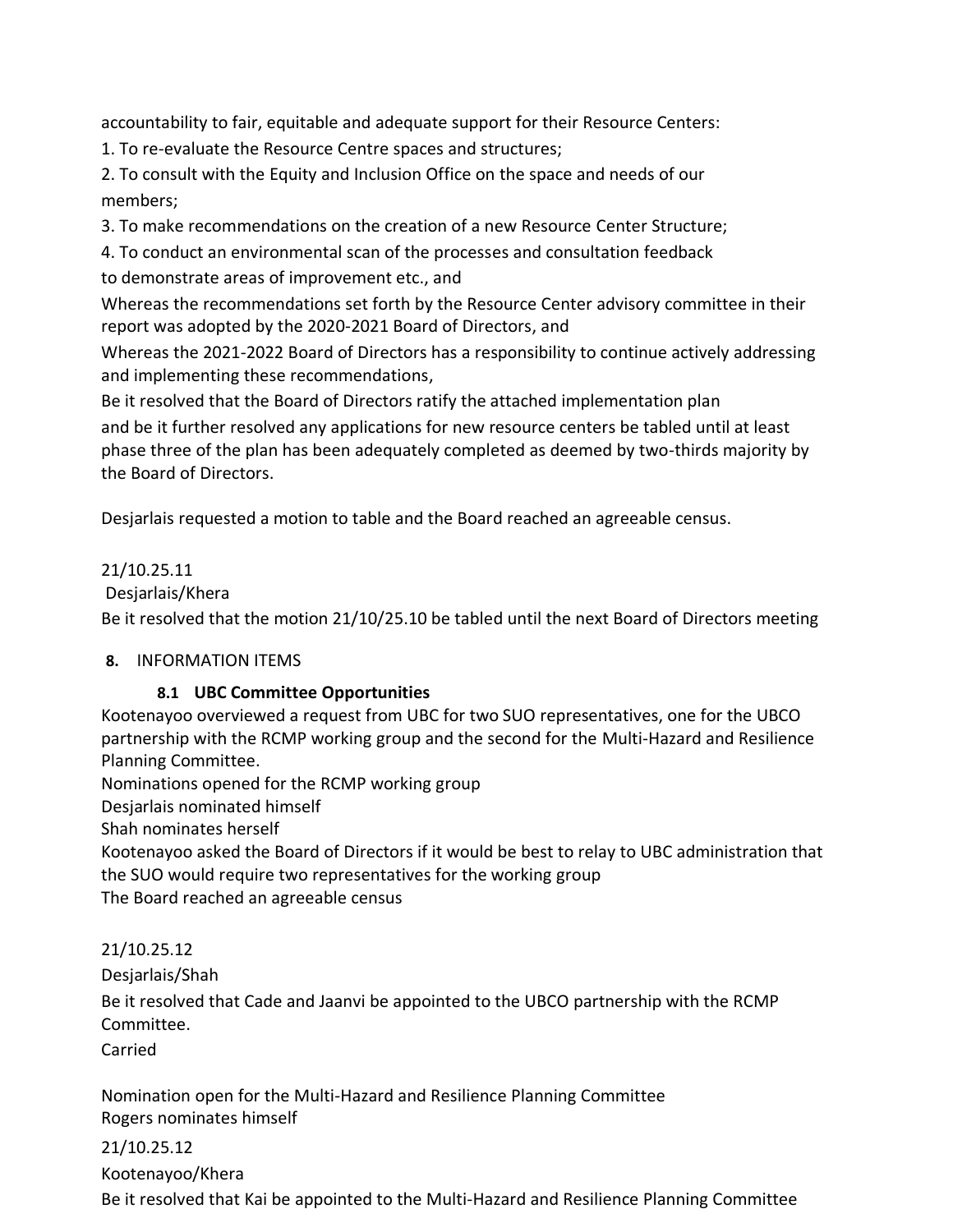accountability to fair, equitable and adequate support for their Resource Centers:

1. To re-evaluate the Resource Centre spaces and structures;

2. To consult with the Equity and Inclusion Office on the space and needs of our members;

3. To make recommendations on the creation of a new Resource Center Structure;

4. To conduct an environmental scan of the processes and consultation feedback

to demonstrate areas of improvement etc., and

Whereas the recommendations set forth by the Resource Center advisory committee in their report was adopted by the 2020-2021 Board of Directors, and

Whereas the 2021-2022 Board of Directors has a responsibility to continue actively addressing and implementing these recommendations,

Be it resolved that the Board of Directors ratify the attached implementation plan and be it further resolved any applications for new resource centers be tabled until at least phase three of the plan has been adequately completed as deemed by two-thirds majority by the Board of Directors.

Desjarlais requested a motion to table and the Board reached an agreeable census.

# 21/10.25.11

Desjarlais/Khera

Be it resolved that the motion 21/10/25.10 be tabled until the next Board of Directors meeting

### **8.** INFORMATION ITEMS

# **8.1 UBC Committee Opportunities**

Kootenayoo overviewed a request from UBC for two SUO representatives, one for the UBCO partnership with the RCMP working group and the second for the Multi-Hazard and Resilience Planning Committee.

Nominations opened for the RCMP working group

Desjarlais nominated himself

Shah nominates herself

Kootenayoo asked the Board of Directors if it would be best to relay to UBC administration that the SUO would require two representatives for the working group The Board reached an agreeable census

# 21/10.25.12

Desjarlais/Shah

Be it resolved that Cade and Jaanvi be appointed to the UBCO partnership with the RCMP Committee.

Carried

Nomination open for the Multi-Hazard and Resilience Planning Committee Rogers nominates himself

# 21/10.25.12

# Kootenayoo/Khera

Be it resolved that Kai be appointed to the Multi-Hazard and Resilience Planning Committee